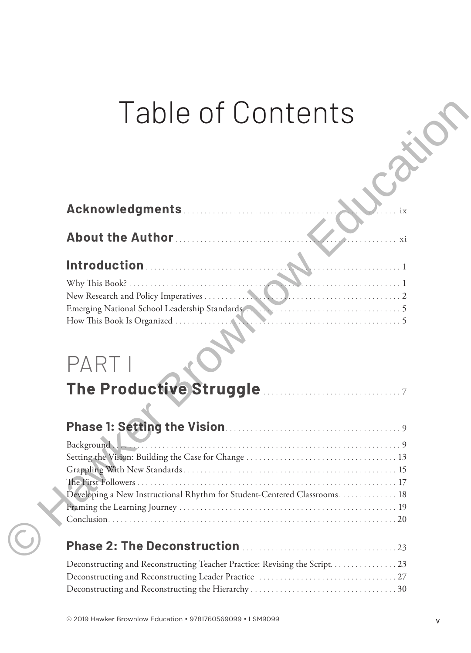## Table of Contents

| Table of Contents                                                                                                                                                                                                                                                                                                         |
|---------------------------------------------------------------------------------------------------------------------------------------------------------------------------------------------------------------------------------------------------------------------------------------------------------------------------|
|                                                                                                                                                                                                                                                                                                                           |
|                                                                                                                                                                                                                                                                                                                           |
| About the Author<br>. xi                                                                                                                                                                                                                                                                                                  |
|                                                                                                                                                                                                                                                                                                                           |
|                                                                                                                                                                                                                                                                                                                           |
|                                                                                                                                                                                                                                                                                                                           |
|                                                                                                                                                                                                                                                                                                                           |
| Emerging National School Leadership Standards<br>How This Book Is Organized                                                                                                                                                                                                                                               |
|                                                                                                                                                                                                                                                                                                                           |
|                                                                                                                                                                                                                                                                                                                           |
| PART I                                                                                                                                                                                                                                                                                                                    |
| The Productive Struggle Manual Communist                                                                                                                                                                                                                                                                                  |
|                                                                                                                                                                                                                                                                                                                           |
|                                                                                                                                                                                                                                                                                                                           |
| Background                                                                                                                                                                                                                                                                                                                |
|                                                                                                                                                                                                                                                                                                                           |
|                                                                                                                                                                                                                                                                                                                           |
| Developing a New Instructional Rhythm for Student-Centered Classrooms 18                                                                                                                                                                                                                                                  |
|                                                                                                                                                                                                                                                                                                                           |
|                                                                                                                                                                                                                                                                                                                           |
|                                                                                                                                                                                                                                                                                                                           |
| $\mathbf{r}_1$ and $\mathbf{r}_2$ and $\mathbf{r}_3$ and $\mathbf{r}_4$ and $\mathbf{r}_5$ and $\mathbf{r}_6$ and $\mathbf{r}_7$ and $\mathbf{r}_8$ and $\mathbf{r}_7$ and $\mathbf{r}_8$ and $\mathbf{r}_7$ and $\mathbf{r}_8$ and $\mathbf{r}_9$ and $\mathbf{r}_8$ and $\mathbf{r}_9$ and $\mathbf{r}_9$ a<br>$\Omega$ |

# PARTI

| Background                                                                |
|---------------------------------------------------------------------------|
|                                                                           |
|                                                                           |
|                                                                           |
| Developing a New Instructional Rhythm for Student-Centered Classrooms. 18 |
|                                                                           |
|                                                                           |

### **Phase 2: The Deconstruction** . 23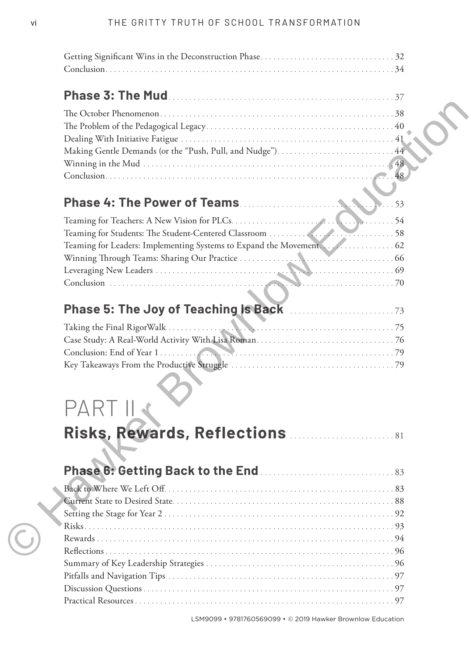| LSM9099 • 9781760569099 • © 2019 Hawker Brownlow Education |  |
|------------------------------------------------------------|--|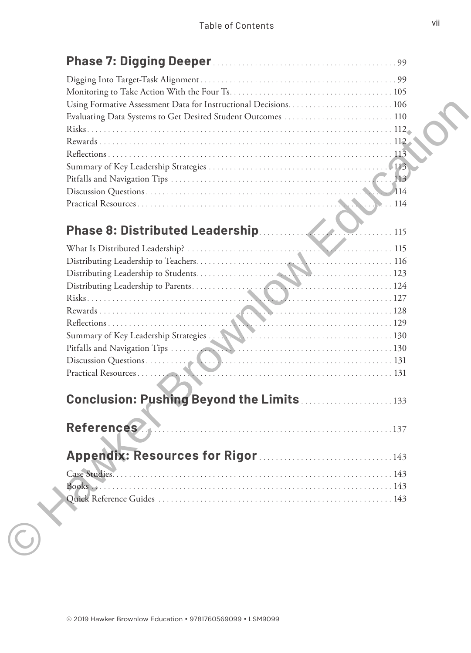| Phase 8: Distributed Leadership<br>$\ldots$ 115 |  |
|-------------------------------------------------|--|
|                                                 |  |
|                                                 |  |
|                                                 |  |
|                                                 |  |
|                                                 |  |
|                                                 |  |
|                                                 |  |
|                                                 |  |
|                                                 |  |
|                                                 |  |
|                                                 |  |
|                                                 |  |
| <b>Conclusion: Pushing Beyond the Limits 33</b> |  |
|                                                 |  |
| <b>References</b>                               |  |
|                                                 |  |
|                                                 |  |
|                                                 |  |
|                                                 |  |
| Books                                           |  |
|                                                 |  |
|                                                 |  |
|                                                 |  |
|                                                 |  |
|                                                 |  |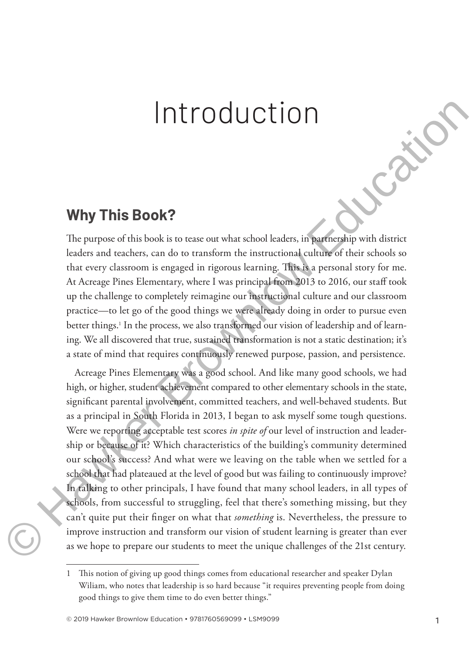## Introduction

#### **Why This Book?**

The purpose of this book is to tease out what school leaders, in partnership with district leaders and teachers, can do to transform the instructional culture of their schools so that every classroom is engaged in rigorous learning. This is a personal story for me. At Acreage Pines Elementary, where I was principal from 2013 to 2016, our staff took up the challenge to completely reimagine our instructional culture and our classroom practice—to let go of the good things we were already doing in order to pursue even better things.<sup>1</sup> In the process, we also transformed our vision of leadership and of learning. We all discovered that true, sustained transformation is not a static destination; it's a state of mind that requires continuously renewed purpose, passion, and persistence.

Acreage Pines Elementary was a good school. And like many good schools, we had high, or higher, student achievement compared to other elementary schools in the state, significant parental involvement, committed teachers, and well-behaved students. But as a principal in South Florida in 2013, I began to ask myself some tough questions. Were we reporting acceptable test scores *in spite of* our level of instruction and leadership or because of it? Which characteristics of the building's community determined our school's success? And what were we leaving on the table when we settled for a school that had plateaued at the level of good but was failing to continuously improve? In talking to other principals, I have found that many school leaders, in all types of schools, from successful to struggling, feel that there's something missing, but they can't quite put their finger on what that *something* is. Nevertheless, the pressure to improve instruction and transform our vision of student learning is greater than ever as we hope to prepare our students to meet the unique challenges of the 21st century. **EXECUTE:** THE CONDUCTION<br>
This BOOK?<br>
The purpose of this book is to tease out what school leaders, in partnership with district leaders and teachers, can do to transform the instructional culture of their schools by the

<sup>1</sup> This notion of giving up good things comes from educational researcher and speaker Dylan Wiliam, who notes that leadership is so hard because "it requires preventing people from doing good things to give them time to do even better things."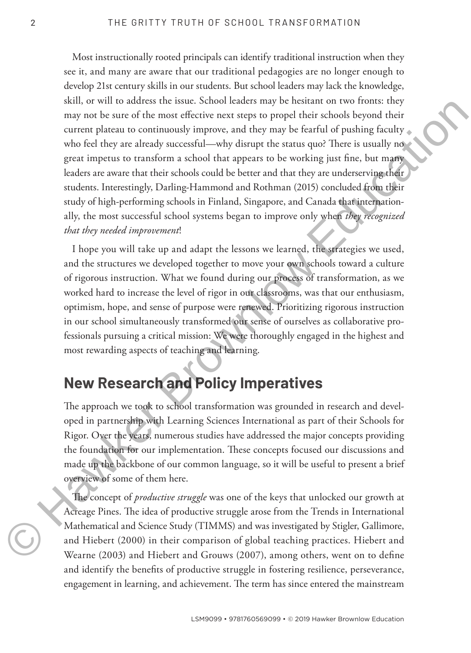Most instructionally rooted principals can identify traditional instruction when they see it, and many are aware that our traditional pedagogies are no longer enough to develop 21st century skills in our students. But school leaders may lack the knowledge, skill, or will to address the issue. School leaders may be hesitant on two fronts: they may not be sure of the most effective next steps to propel their schools beyond their current plateau to continuously improve, and they may be fearful of pushing faculty who feel they are already successful—why disrupt the status quo? There is usually no great impetus to transform a school that appears to be working just fine, but many leaders are aware that their schools could be better and that they are underserving their students. Interestingly, Darling-Hammond and Rothman (2015) concluded from their study of high-performing schools in Finland, Singapore, and Canada that internationally, the most successful school systems began to improve only when *they recognized that they needed improvement*! sen, to war counters one solutions and the most strain in two transmissions and the function of the most effective next steps to propel their scholars before exerts to here and the steps of the first of productions in the

I hope you will take up and adapt the lessons we learned, the strategies we used, and the structures we developed together to move your own schools toward a culture of rigorous instruction. What we found during our process of transformation, as we worked hard to increase the level of rigor in our classrooms, was that our enthusiasm, optimism, hope, and sense of purpose were renewed. Prioritizing rigorous instruction in our school simultaneously transformed our sense of ourselves as collaborative professionals pursuing a critical mission: We were thoroughly engaged in the highest and most rewarding aspects of teaching and learning.

#### **New Research and Policy Imperatives**

The approach we took to school transformation was grounded in research and developed in partnership with Learning Sciences International as part of their Schools for Rigor. Over the years, numerous studies have addressed the major concepts providing the foundation for our implementation. These concepts focused our discussions and made up the backbone of our common language, so it will be useful to present a brief overview of some of them here.

The concept of *productive struggle* was one of the keys that unlocked our growth at Acreage Pines. The idea of productive struggle arose from the Trends in International Mathematical and Science Study (TIMMS) and was investigated by Stigler, Gallimore, and Hiebert (2000) in their comparison of global teaching practices. Hiebert and Wearne (2003) and Hiebert and Grouws (2007), among others, went on to define and identify the benefits of productive struggle in fostering resilience, perseverance, engagement in learning, and achievement. The term has since entered the mainstream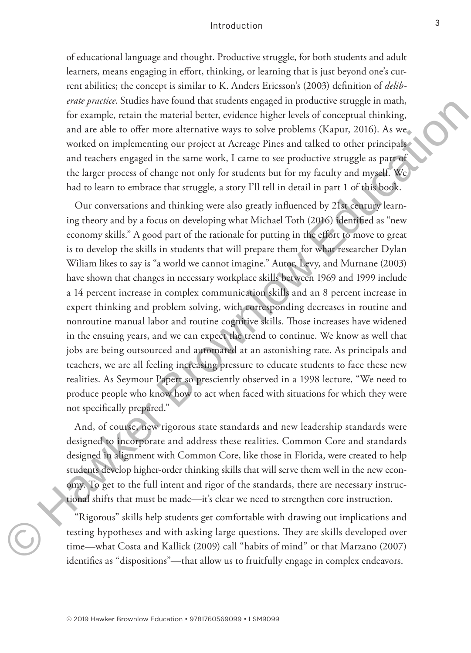#### Introduction

of educational language and thought. Productive struggle, for both students and adult learners, means engaging in effort, thinking, or learning that is just beyond one's current abilities; the concept is similar to K. Anders Ericsson's (2003) definition of *deliberate practice*. Studies have found that students engaged in productive struggle in math, for example, retain the material better, evidence higher levels of conceptual thinking, and are able to offer more alternative ways to solve problems (Kapur, 2016). As we worked on implementing our project at Acreage Pines and talked to other principals and teachers engaged in the same work, I came to see productive struggle as part of the larger process of change not only for students but for my faculty and myself. We had to learn to embrace that struggle, a story I'll tell in detail in part 1 of this book.

Our conversations and thinking were also greatly influenced by 21st century learning theory and by a focus on developing what Michael Toth (2016) identified as "new economy skills." A good part of the rationale for putting in the effort to move to great is to develop the skills in students that will prepare them for what researcher Dylan Wiliam likes to say is "a world we cannot imagine." Autor, Levy, and Murnane (2003) have shown that changes in necessary workplace skills between 1969 and 1999 include a 14 percent increase in complex communication skills and an 8 percent increase in expert thinking and problem solving, with corresponding decreases in routine and nonroutine manual labor and routine cognitive skills. Those increases have widened in the ensuing years, and we can expect the trend to continue. We know as well that jobs are being outsourced and automated at an astonishing rate. As principals and teachers, we are all feeling increasing pressure to educate students to face these new realities. As Seymour Papert so presciently observed in a 1998 lecture, "We need to produce people who know how to act when faced with situations for which they were not specifically prepared." *erar pracete.* Sources have found univ students engage in productive studge tim flatter, exists are considered in the consideration of the studients of the studients of the studients of the studients (Kapur, 2016). As we

And, of course, new rigorous state standards and new leadership standards were designed to incorporate and address these realities. Common Core and standards designed in alignment with Common Core, like those in Florida, were created to help students develop higher-order thinking skills that will serve them well in the new economy. To get to the full intent and rigor of the standards, there are necessary instructional shifts that must be made—it's clear we need to strengthen core instruction.

"Rigorous" skills help students get comfortable with drawing out implications and testing hypotheses and with asking large questions. They are skills developed over time—what Costa and Kallick (2009) call "habits of mind" or that Marzano (2007) identifies as "dispositions"—that allow us to fruitfully engage in complex endeavors.

3

©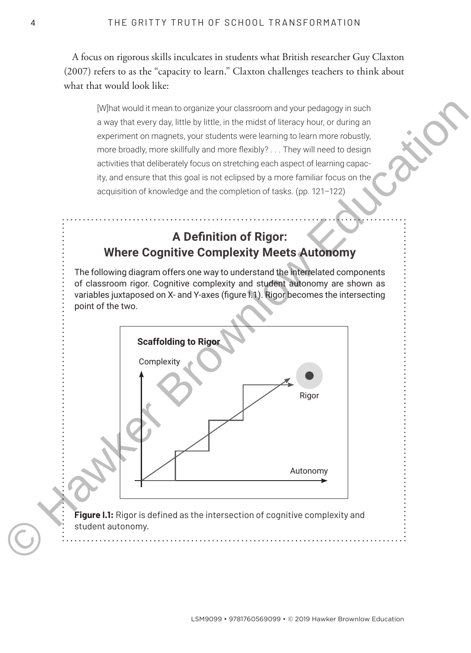A focus on rigorous skills inculcates in students what British researcher Guy Claxton (2007) refers to as the "capacity to learn." Claxton challenges teachers to think about what that would look like:

[W]hat would it mean to organize your classroom and your pedagogy in such a way that every day, little by little, in the midst of literacy hour, or during an experiment on magnets, your students were learning to learn more robustly, more broadly, more skillfully and more flexibly? . . . They will need to design activities that deliberately focus on stretching each aspect of learning capacity, and ensure that this goal is not eclipsed by a more familiar focus on the acquisition of knowledge and the completion of tasks. (pp. 121–122)

#### **A Definition of Rigor: Where Cognitive Complexity Meets Autonomy**

The following diagram offers one way to understand the interrelated components of classroom rigor. Cognitive complexity and student autonomy are shown as variables juxtaposed on X- and Y-axes (figure I.1). Rigor becomes the intersecting point of the two.



**Figure I.1:** Rigor is defined as the intersection of cognitive complexity and student autonomy.